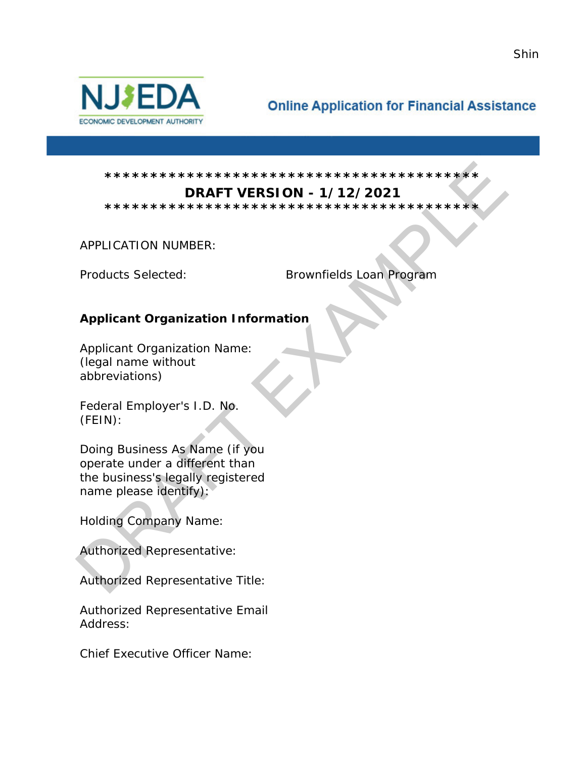

# **Online Application for Financial Assistance**

#### **\*\*\*\*\*\*\*\*\*\*\*\*\*\*\*\*\*\*\*\*\*\*\*\*\*\*\*\*\*\*\*\*\*\*\*\*\*\*\*\*\* DRAFT VERSION - 1/12/2021**

**\*\*\*\*\*\*\*\*\*\*\*\*\*\*\*\*\*\*\*\*\*\*\*\*\*\*\*\*\*\*\*\*\*\*\*\*\*\*\*\*\*** 

APPLICATION NUMBER:

Products Selected: Brownfields Loan Program

# **Applicant Organization Information**

Applicant Organization Name: (legal name without abbreviations)

Federal Employer's I.D. No. (FEIN):

Doing Business As Name (if you operate under a different than the business's legally registered name please identify): DRAFT EXAMPLE

Holding Company Name:

Authorized Representative:

Authorized Representative Title:

Authorized Representative Email Address:

Chief Executive Officer Name:

Shin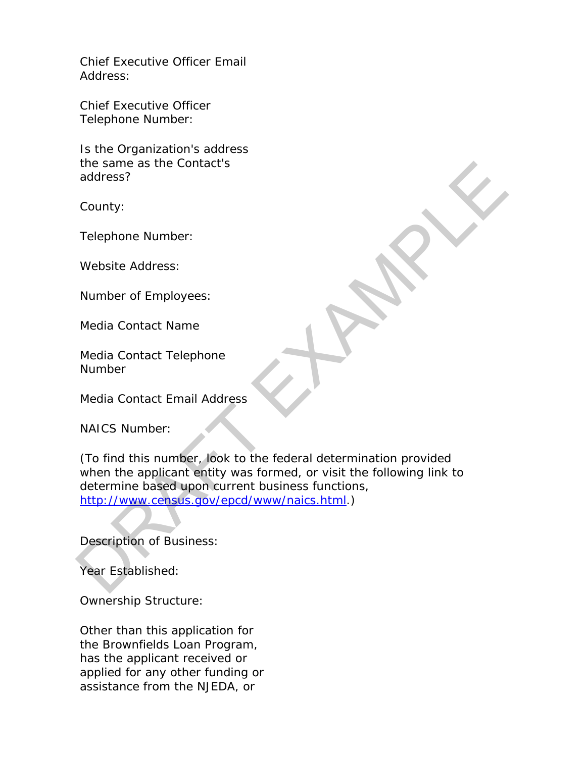Chief Executive Officer Email Address:

Chief Executive Officer Telephone Number:

Is the Organization's address the same as the Contact's address?

County:

Telephone Number:

Website Address:

Number of Employees:

Media Contact Name

Media Contact Telephone **Number** 

Media Contact Email Address

NAICS Number:

(To find this number, look to the federal determination provided when the applicant entity was formed, or visit the following link to determine based upon current business functions, http://www.census.gov/epcd/www/naics.html.) the same as the Contact's<br>
address?<br>
County:<br>
Telephone Number:<br>
Website Address:<br>
Mumber of Employees:<br>
Media Contact Name<br>
Media Contact Telephone<br>
Number<br>
Media Contact Email Address<br>
NAICS Number:<br>
(To find this number

Description of Business:

Year Established:

Ownership Structure:

Other than this application for the Brownfields Loan Program, has the applicant received or applied for any other funding or assistance from the NJEDA, or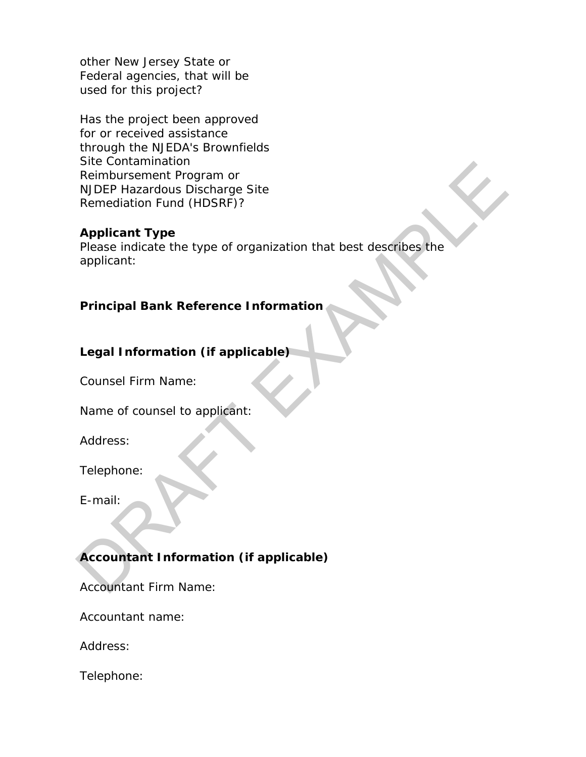other New Jersey State or Federal agencies, that will be used for this project?

Has the project been approved for or received assistance through the NJEDA's Brownfields Site Contamination Reimbursement Program or NJDEP Hazardous Discharge Site Remediation Fund (HDSRF)?

#### **Applicant Type**

Please indicate the type of organization that best describes the applicant: Sue Contamination<br>
Reimbursement Program or<br>
NDEP Hazardous Discharge Site<br>
Remediation Fund (HDSRF)?<br>
Applicant:<br>
Please indicate the type of organization that best describes the<br>
applicant:<br>
Principal Bank Reference Info

# **Principal Bank Reference Information**

#### **Legal Information (if applicable)**

Counsel Firm Name:

Name of counsel to applicant:

Address:

Telephone:

E-mail:

# **Accountant Information (if applicable)**

Accountant Firm Name:

Accountant name:

Address:

Telephone: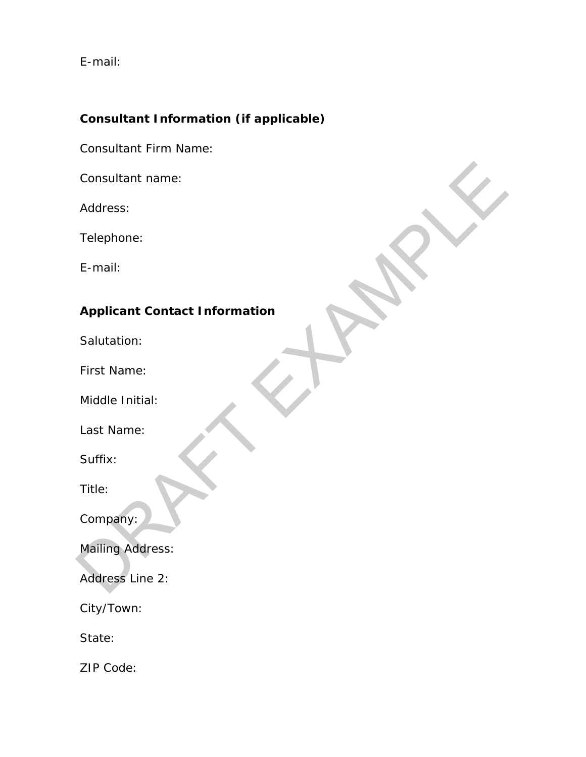E-mail:

# **Consultant Information (if applicable)**

Consultant Firm Name:

Consultant name:

Address:

Telephone:

E-mail:

# **Applicant Contact Information** Consultant name:<br>
Address:<br>
Telephone:<br>
E-mail:<br>
Applicant Contact Information<br>
Salutation:<br>
First Name:<br>
Middle Initial:<br>
Last Name:<br>
Suffix:<br>
Title:<br>
Company:<br>
Mailling Address:<br>
Address Line 2:

Salutation:

First Name:

Middle Initial:

Last Name:

Suffix:

Title:

Company:

Mailing Address:

Address Line 2:

City/Town:

State:

ZIP Code: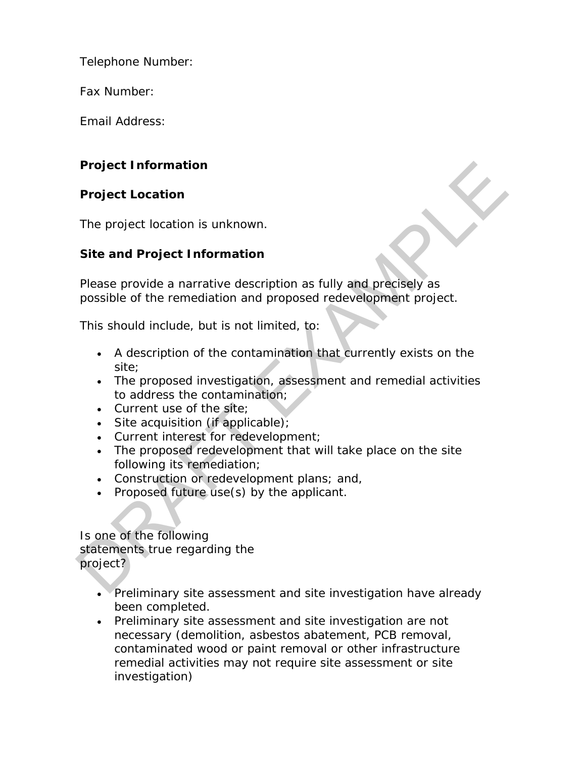Telephone Number:

Fax Number:

Email Address:

# **Project Information**

# **Project Location**

The project location is unknown.

# **Site and Project Information**

Please provide a narrative description as fully and precisely as possible of the remediation and proposed redevelopment project.

This should include, but is not limited, to:

- A description of the contamination that currently exists on the site; Project Information<br>
The project location<br>
The project location is unknown.<br>
Site and Project Information<br>
Please provide a narrative description as fully and precisely as<br>
possible of the remediation and proposed redevelo
	- The proposed investigation, assessment and remedial activities to address the contamination;
	- Current use of the site;
	- Site acquisition (if applicable);
	- Current interest for redevelopment;
	- The proposed redevelopment that will take place on the site following its remediation;
	- Construction or redevelopment plans; and,
	- Proposed future use(s) by the applicant.

Is one of the following statements true regarding the project?

- Preliminary site assessment and site investigation have already been completed.
- Preliminary site assessment and site investigation are not necessary (demolition, asbestos abatement, PCB removal, contaminated wood or paint removal or other infrastructure remedial activities may not require site assessment or site investigation)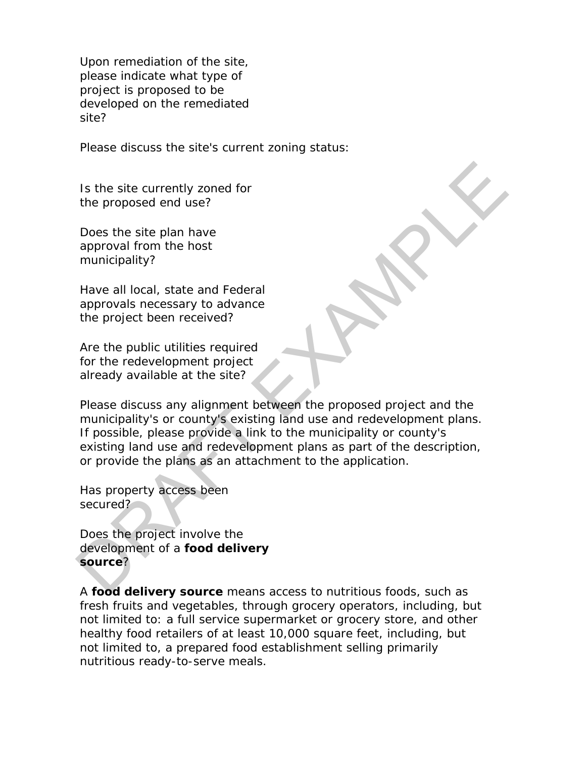Upon remediation of the site, please indicate what type of project is proposed to be developed on the remediated site?

Please discuss the site's current zoning status:

Is the site currently zoned for the proposed end use?

Does the site plan have approval from the host municipality?

Have all local, state and Federal approvals necessary to advance the project been received?

Are the public utilities required for the redevelopment project already available at the site?

Please discuss any alignment between the proposed project and the municipality's or county's existing land use and redevelopment plans. If possible, please provide a link to the municipality or county's existing land use and redevelopment plans as part of the description, or provide the plans as an attachment to the application. Is the site currently zoned for<br>
the proposed end use?<br>
Does the site plan have<br>
approval from the host<br>
approvals necessary to advance<br>
the project been received?<br>
Are the public utilities required<br>
for the reductionent p

Has property access been secured?

Does the project involve the development of a **food delivery source**?

A **food delivery source** means access to nutritious foods, such as fresh fruits and vegetables, through grocery operators, including, but not limited to: a full service supermarket or grocery store, and other healthy food retailers of at least 10,000 square feet, including, but not limited to, a prepared food establishment selling primarily nutritious ready-to-serve meals.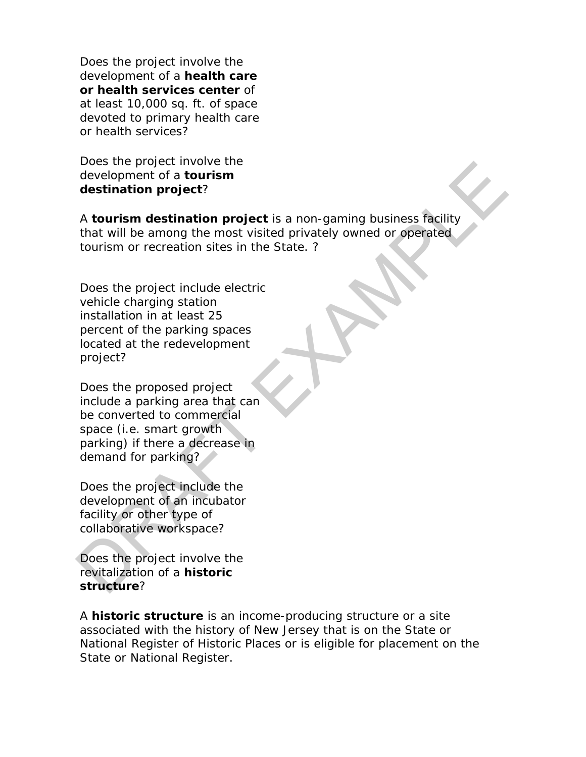Does the project involve the development of a **health care or health services center** of at least 10,000 sq. ft. of space devoted to primary health care or health services?

Does the project involve the development of a **tourism destination project**?

A **tourism destination project** is a non-gaming business facility that will be among the most visited privately owned or operated tourism or recreation sites in the State. ? Desiste project involve in<br>
development of a tourism<br>
development of a tourism<br>
destination project?<br>
A tourism destination project is a non-gaming business facility<br>
that will be among the most visited privately owned or

Does the project include electric vehicle charging station installation in at least 25 percent of the parking spaces located at the redevelopment project?

Does the proposed project include a parking area that can be converted to commercial space (i.e. smart growth parking) if there a decrease in demand for parking?

Does the project include the development of an incubator facility or other type of collaborative workspace?

Does the project involve the revitalization of a **historic structure**?

A **historic structure** is an income-producing structure or a site associated with the history of New Jersey that is on the State or National Register of Historic Places or is eligible for placement on the State or National Register.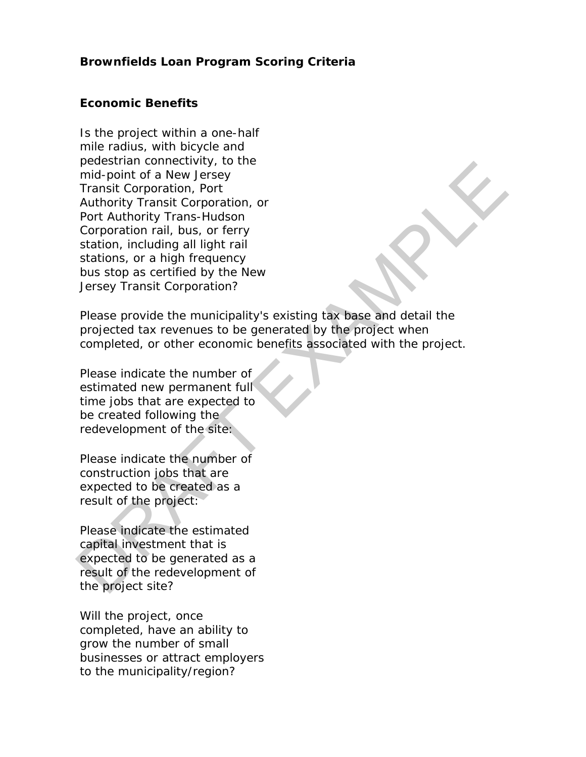#### **Brownfields Loan Program Scoring Criteria**

#### **Economic Benefits**

Is the project within a one-half mile radius, with bicycle and pedestrian connectivity, to the mid-point of a New Jersey Transit Corporation, Port Authority Transit Corporation, or Port Authority Trans-Hudson Corporation rail, bus, or ferry station, including all light rail stations, or a high frequency bus stop as certified by the New Jersey Transit Corporation? pees since the project of the project state of the project state of the project state of the project of the project of the project of the project of the project of the project of the project of the project of the project o

Please provide the municipality's existing tax base and detail the projected tax revenues to be generated by the project when completed, or other economic benefits associated with the project.

Please indicate the number of estimated new permanent full time jobs that are expected to be created following the redevelopment of the site:

Please indicate the number of construction jobs that are expected to be created as a result of the project:

Please indicate the estimated capital investment that is expected to be generated as a result of the redevelopment of the project site?

Will the project, once completed, have an ability to grow the number of small businesses or attract employers to the municipality/region?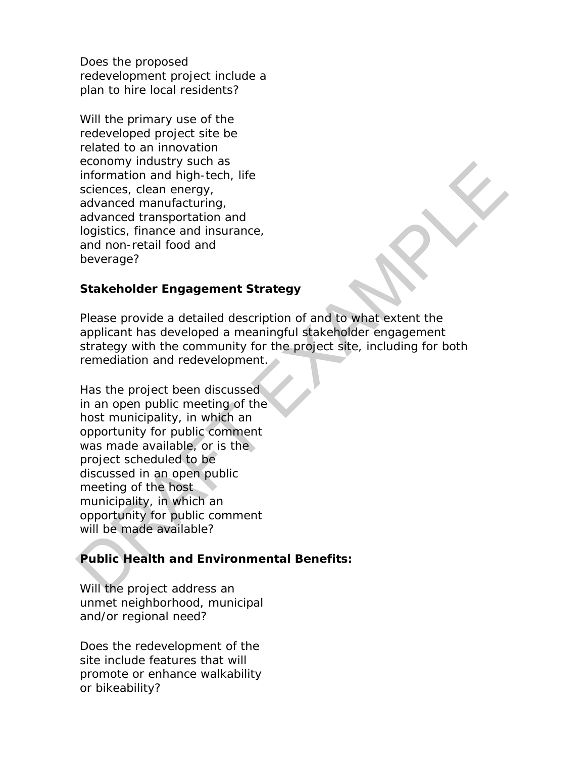Does the proposed redevelopment project include a plan to hire local residents?

Will the primary use of the redeveloped project site be related to an innovation economy industry such as information and high-tech, life sciences, clean energy, advanced manufacturing, advanced transportation and logistics, finance and insurance, and non-retail food and beverage?

#### **Stakeholder Engagement Strategy**

Please provide a detailed description of and to what extent the applicant has developed a meaningful stakeholder engagement strategy with the community for the project site, including for both remediation and redevelopment.

Has the project been discussed in an open public meeting of the host municipality, in which an opportunity for public comment was made available, or is the project scheduled to be discussed in an open public meeting of the host municipality, in which an opportunity for public comment will be made available? ecolony moustry such as<br>
information and high-tech, life<br>
information and high-tech, life<br>
sciences, clean energy,<br>
advanced transportation and<br>
logistics, finance and insurance,<br>
and non-retail food and<br>
beverage?<br> **Stake** 

# **Public Health and Environmental Benefits:**

Will the project address an unmet neighborhood, municipal and/or regional need?

Does the redevelopment of the site include features that will promote or enhance walkability or bikeability?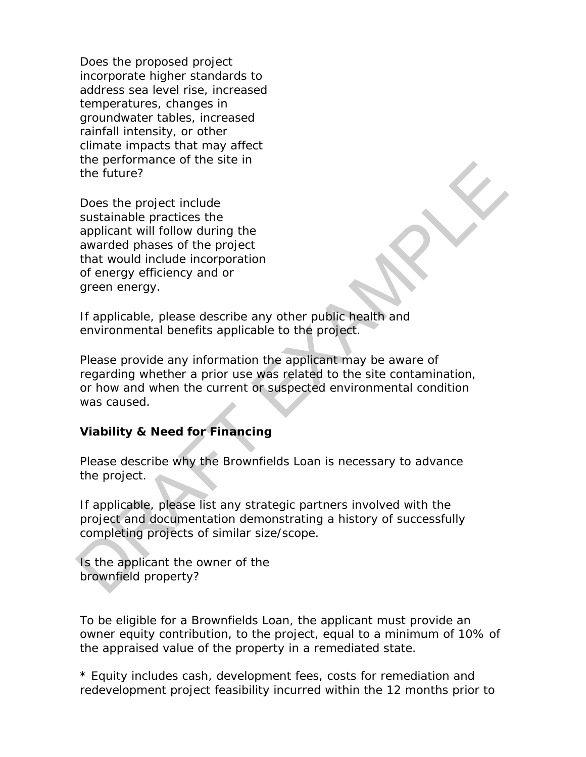Does the proposed project incorporate higher standards to address sea level rise, increased temperatures, changes in groundwater tables, increased rainfall intensity, or other climate impacts that may affect the performance of the site in the future?

Does the project include sustainable practices the applicant will follow during the awarded phases of the project that would include incorporation of energy efficiency and or green energy.

If applicable, please describe any other public health and environmental benefits applicable to the project.

Please provide any information the applicant may be aware of regarding whether a prior use was related to the site contamination, or how and when the current or suspected environmental condition was caused. the purion twill follow during the<br>
the future?<br>
Does the project include<br>
sustainable practices the<br>
awarded phases of the project<br>
that would include incorporation<br>
green energy efficiency and or<br>
green energy.<br>
If appli

#### **Viability & Need for Financing**

Please describe why the Brownfields Loan is necessary to advance the project.

If applicable, please list any strategic partners involved with the project and documentation demonstrating a history of successfully completing projects of similar size/scope.

Is the applicant the owner of the brownfield property?

To be eligible for a Brownfields Loan, the applicant must provide an owner equity contribution, to the project, equal to a minimum of 10% of the appraised value of the property in a remediated state.

*\* Equity includes cash, development fees, costs for remediation and redevelopment project feasibility incurred within the 12 months prior to*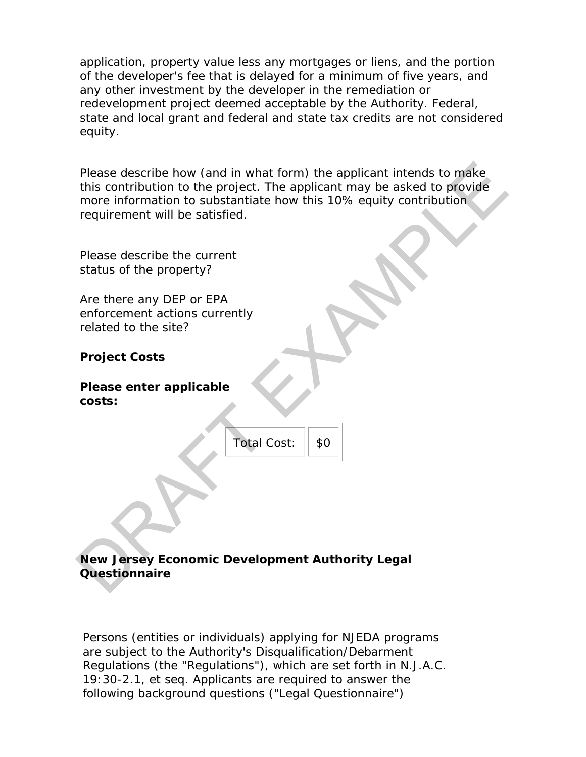*application, property value less any mortgages or liens, and the portion of the developer's fee that is delayed for a minimum of five years, and any other investment by the developer in the remediation or redevelopment project deemed acceptable by the Authority. Federal, state and local grant and federal and state tax credits are not considered equity.*

Please describe how (and in what form) the applicant intends to make this contribution to the project. The applicant may be asked to provide more information to substantiate how this 10% equity contribution requirement will be satisfied. Please describe how (and in what form) the applicant intends to make<br>this contribution to the project. The applicant may be asked to provide<br>more information to substantiate how this 10% equity contribution<br>requirement wil

Please describe the current status of the property?

Are there any DEP or EPA enforcement actions currently related to the site?

# **Project Costs**

**Please enter applicable costs:** 

| Total Cost: | \$0 |
|-------------|-----|
|             |     |

# **New Jersey Economic Development Authority Legal Questionnaire**

Persons (entities or individuals) applying for NJEDA programs are subject to the Authority's Disqualification/Debarment Regulations (the "Regulations"), which are set forth in N.J.A.C. 19:30-2.1, *et seq*. Applicants are required to answer the following background questions ("Legal Questionnaire")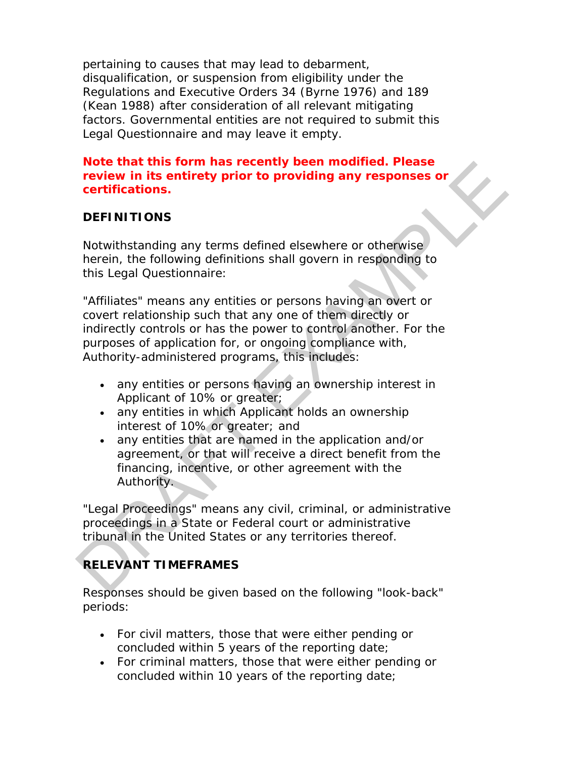pertaining to causes that may lead to debarment, disqualification, or suspension from eligibility under the Regulations and Executive Orders 34 (Byrne 1976) and 189 (Kean 1988) after consideration of all relevant mitigating factors. Governmental entities are not required to submit this Legal Questionnaire and may leave it empty.

#### *Note that this form has recently been modified. Please review in its entirety prior to providing any responses or certifications.*

# **DEFINITIONS**

Notwithstanding any terms defined elsewhere or otherwise herein, the following definitions shall govern in responding to this Legal Questionnaire:

"Affiliates" means any entities or persons having an overt or covert relationship such that any one of them directly or indirectly controls or has the power to control another. For the purposes of application for, or ongoing compliance with, Authority-administered programs, this includes: **Note that this form has recently been modified. Please<br>
review in its entirety prior to providing any responses or<br>
certifications.**<br>
DEFINITIONS<br>
Notwithstanding any terms defined elsewhere or otherwise<br>
therein, the fol

- any entities or persons having an ownership interest in Applicant of 10% or greater;
- any entities in which Applicant holds an ownership interest of 10% or greater; and
- any entities that are named in the application and/or agreement, or that will receive a direct benefit from the financing, incentive, or other agreement with the Authority.

"Legal Proceedings" means any civil, criminal, or administrative proceedings in a State or Federal court or administrative tribunal in the United States or any territories thereof.

# **RELEVANT TIMEFRAMES**

Responses should be given based on the following "look-back" periods:

- For civil matters, those that were either pending or concluded within 5 years of the reporting date;
- For criminal matters, those that were either pending or concluded within 10 years of the reporting date;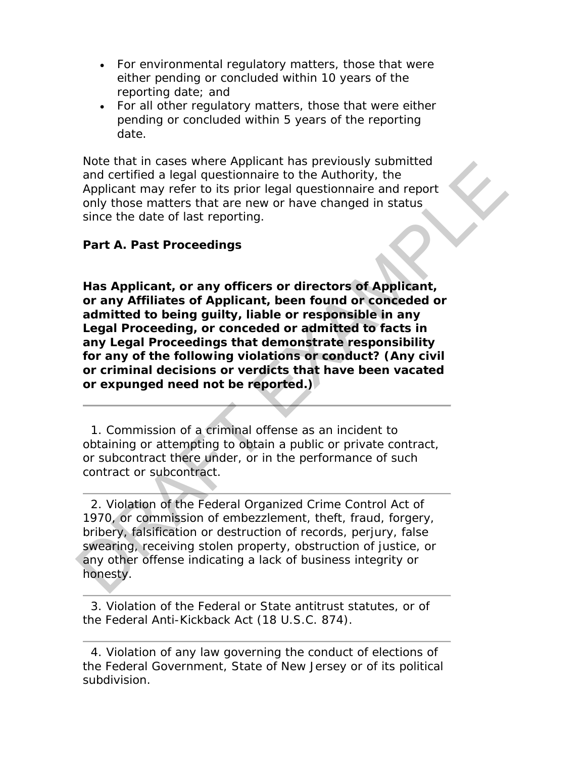- For environmental regulatory matters, those that were either pending or concluded within 10 years of the reporting date; and
- For all other regulatory matters, those that were either pending or concluded within 5 years of the reporting date.

Note that in cases where Applicant has previously submitted and certified a legal questionnaire to the Authority, the Applicant may refer to its prior legal questionnaire and report only those matters that are new or have changed in status since the date of last reporting.

#### **Part A. Past Proceedings**

**Has Applicant, or any officers or directors of Applicant, or any Affiliates of Applicant, been found or conceded or admitted to being guilty, liable or responsible in any Legal Proceeding, or conceded or admitted to facts in any Legal Proceedings that demonstrate responsibility for any of the following violations or conduct? (Any civil or criminal decisions or verdicts that have been vacated or expunged need not be reported.)** Note that meass where applicant has previously submitted<br>and certified a legal questionnaire to the Authority, the<br>Applicant may refer to its prior legal questionnaire and report<br>only those matters that are new or have cha

 1. Commission of a criminal offense as an incident to obtaining or attempting to obtain a public or private contract, or subcontract there under, or in the performance of such contract or subcontract.

 2. Violation of the Federal Organized Crime Control Act of 1970, or commission of embezzlement, theft, fraud, forgery, bribery, falsification or destruction of records, perjury, false swearing, receiving stolen property, obstruction of justice, or any other offense indicating a lack of business integrity or honesty.

 3. Violation of the Federal or State antitrust statutes, or of the Federal Anti-Kickback Act (18 U.S.C. 874).

 <sup>4.</sup> Violation of any law governing the conduct of elections of the Federal Government, State of New Jersey or of its political subdivision.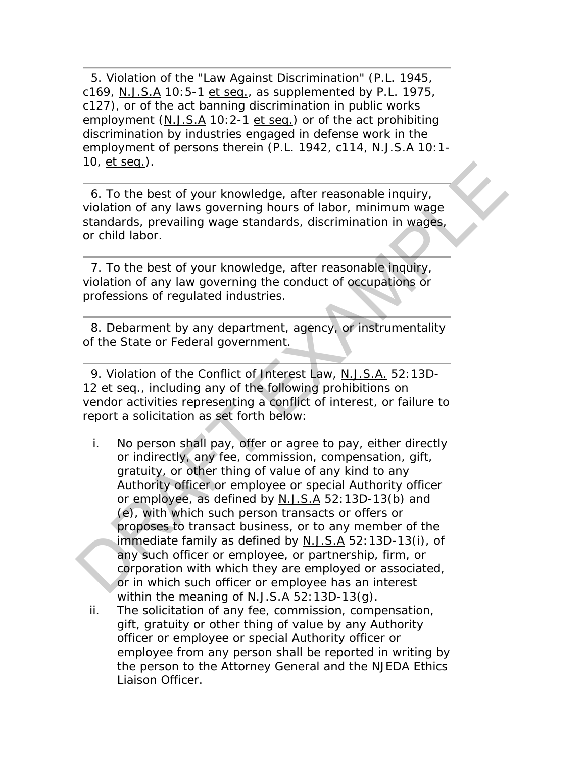5. Violation of the "Law Against Discrimination" (P.L. 1945, c169, N.J.S.A 10:5-1 et seq., as supplemented by P.L. 1975, c127), or of the act banning discrimination in public works employment (N.J.S.A 10:2-1 et seq.) or of the act prohibiting discrimination by industries engaged in defense work in the employment of persons therein (P.L. 1942, c114, N.J.S.A 10:1- 10, et seq.).

 6. To the best of your knowledge, after reasonable inquiry, violation of any laws governing hours of labor, minimum wage standards, prevailing wage standards, discrimination in wages, or child labor.

 7. To the best of your knowledge, after reasonable inquiry, violation of any law governing the conduct of occupations or professions of regulated industries.

 8. Debarment by any department, agency, or instrumentality of the State or Federal government.

 9. Violation of the Conflict of Interest Law, N.J.S.A. 52:13D-12 *et seq*., including any of the following prohibitions on vendor activities representing a conflict of interest, or failure to report a solicitation as set forth below:

- i. No person shall pay, offer or agree to pay, either directly or indirectly, any fee, commission, compensation, gift, gratuity, or other thing of value of any kind to any Authority officer or employee or special Authority officer or employee, as defined by N.J.S.A 52:13D-13(b) and (e), with which such person transacts or offers or proposes to transact business, or to any member of the immediate family as defined by  $N.J.S.A$  52:13D-13(i), of any such officer or employee, or partnership, firm, or corporation with which they are employed or associated, or in which such officer or employee has an interest within the meaning of N.J.S.A 52:13D-13(g). 10, <u>et seq.</u>).<br>
6. To the best of your knowledge, after reasonable inquiry,<br>
volation of any laws governing hours of labor, minimum wages<br>
standards, prevailing wage standards, discrimination in wages,<br>
or child labor.<br>
	- ii. The solicitation of any fee, commission, compensation, gift, gratuity or other thing of value by any Authority officer or employee or special Authority officer or employee from any person shall be reported in writing by the person to the Attorney General and the NJEDA Ethics Liaison Officer.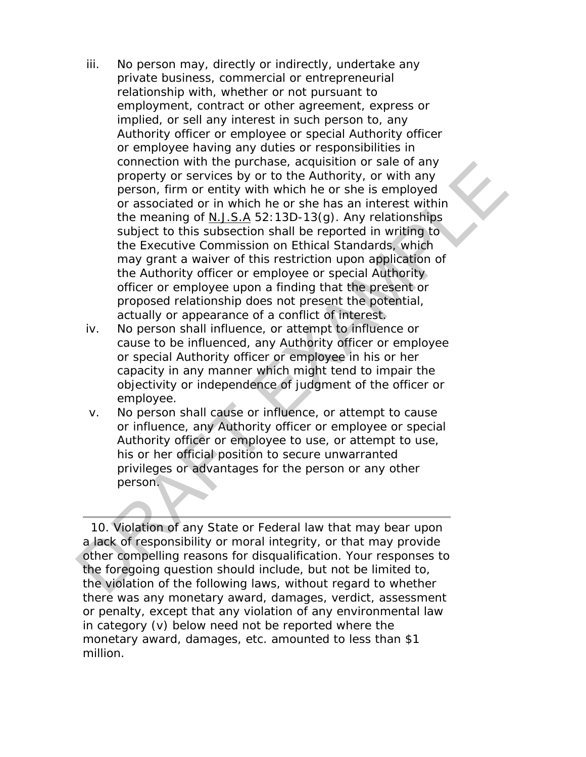- iii. No person may, directly or indirectly, undertake any private business, commercial or entrepreneurial relationship with, whether or not pursuant to employment, contract or other agreement, express or implied, or sell any interest in such person to, any Authority officer or employee or special Authority officer or employee having any duties or responsibilities in connection with the purchase, acquisition or sale of any property or services by or to the Authority, or with any person, firm or entity with which he or she is employed or associated or in which he or she has an interest within the meaning of N.J.S.A 52:13D-13(g). Any relationships subject to this subsection shall be reported in writing to the Executive Commission on Ethical Standards, which may grant a waiver of this restriction upon application of the Authority officer or employee or special Authority officer or employee upon a finding that the present or proposed relationship does not present the potential, actually or appearance of a conflict of interest. connection with the purchase, acquisition or sale or any property or services by or to the Authority, or with any person, firm or criticly with which he or she is semployed or associated or in which heads and interparted w
	- iv. No person shall influence, or attempt to influence or cause to be influenced, any Authority officer or employee or special Authority officer or employee in his or her capacity in any manner which might tend to impair the objectivity or independence of judgment of the officer or employee.
	- v. No person shall cause or influence, or attempt to cause or influence, any Authority officer or employee or special Authority officer or employee to use, or attempt to use, his or her official position to secure unwarranted privileges or advantages for the person or any other person.

 10. Violation of any State or Federal law that may bear upon a lack of responsibility or moral integrity, or that may provide other compelling reasons for disqualification. Your responses to the foregoing question should include, but not be limited to, the violation of the following laws, without regard to whether there was any monetary award, damages, verdict, assessment or penalty, except that any violation of any environmental law in category (v) below need not be reported where the monetary award, damages, etc. amounted to less than \$1 million.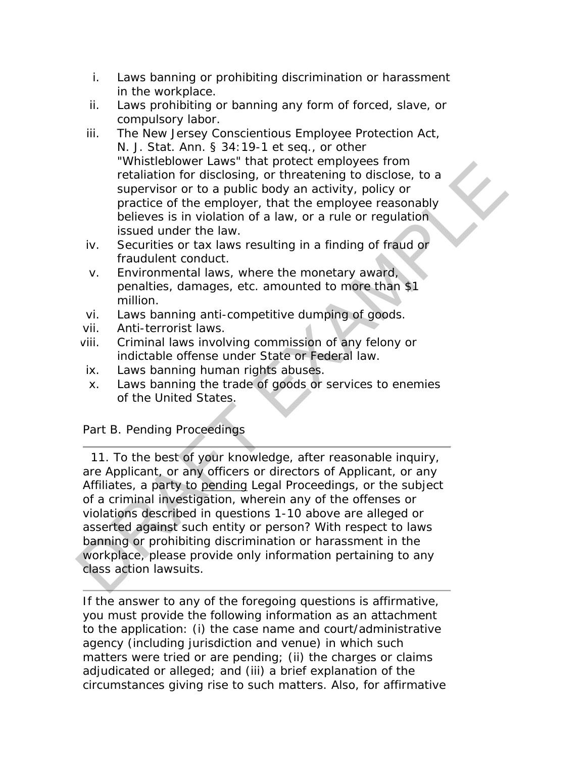- i. Laws banning or prohibiting discrimination or harassment in the workplace.
- ii. Laws prohibiting or banning any form of forced, slave, or compulsory labor.
- iii. The New Jersey Conscientious Employee Protection Act, N. J. Stat. Ann. § 34:19-1 *et seq*., or other "Whistleblower Laws" that protect employees from retaliation for disclosing, or threatening to disclose, to a supervisor or to a public body an activity, policy or practice of the employer, that the employee reasonably believes is in violation of a law, or a rule or regulation issued under the law.
- iv. Securities or tax laws resulting in a finding of fraud or fraudulent conduct.
- v. Environmental laws, where the monetary award, penalties, damages, etc. amounted to more than \$1 million.
- vi. Laws banning anti-competitive dumping of goods.
- vii. Anti-terrorist laws.
- viii. Criminal laws involving commission of any felony or indictable offense under State or Federal law.
- ix. Laws banning human rights abuses.
- x. Laws banning the trade of goods or services to enemies of the United States.

#### Part B. Pending Proceedings

 11. To the best of your knowledge, after reasonable inquiry, are Applicant, or any officers or directors of Applicant, or any Affiliates, a party to pending Legal Proceedings, or the subject of a criminal investigation, wherein any of the offenses or violations described in questions 1-10 above are alleged or asserted against such entity or person? With respect to laws banning or prohibiting discrimination or harassment in the workplace, please provide only information pertaining to any class action lawsuits. visite to detect employer and protect employers from<br>tradiation for disclosing, or threatening to disclose, to a<br>supervisor or to a public body an activity, policy or<br>practice of the employer, that the employer reasonably<br>

If the answer to any of the foregoing questions is affirmative, you must provide the following information as an attachment to the application: (i) the case name and court/administrative agency (including jurisdiction and venue) in which such matters were tried or are pending; (ii) the charges or claims adjudicated or alleged; and (iii) a brief explanation of the circumstances giving rise to such matters. Also, for affirmative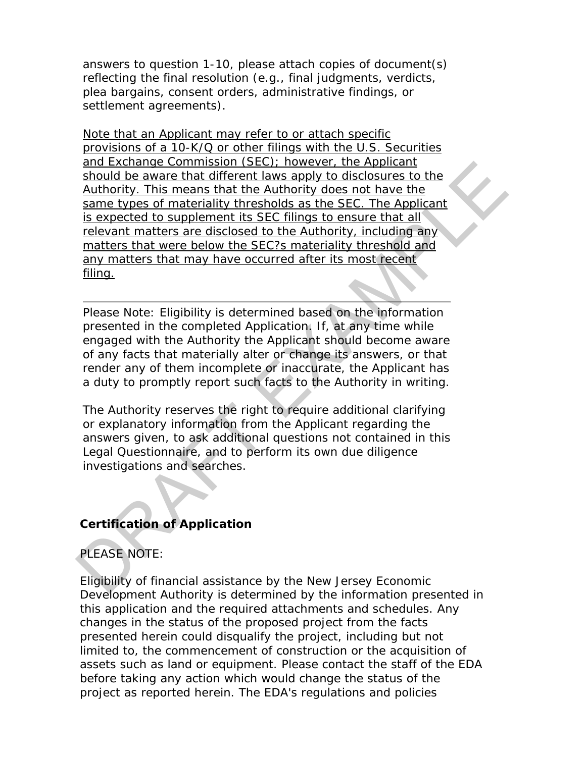answers to question 1-10, please attach copies of document(s) reflecting the final resolution (e.g., final judgments, verdicts, plea bargains, consent orders, administrative findings, or settlement agreements).

Note that an Applicant may refer to or attach specific provisions of a 10-K/Q or other filings with the U.S. Securities and Exchange Commission (SEC); however, the Applicant should be aware that different laws apply to disclosures to the Authority. This means that the Authority does not have the same types of materiality thresholds as the SEC. The Applicant is expected to supplement its SEC filings to ensure that all relevant matters are disclosed to the Authority, including any matters that were below the SEC?s materiality threshold and any matters that may have occurred after its most recent filing. and Exchange Commission (Set D): nowever, the Applicant<br>should be aware that different laws apply to disclosures to the<br>Authority. This means that the Authority does not have the<br>same types of materiality thresholds as the

Please Note: Eligibility is determined based on the information presented in the completed Application. If, at any time while engaged with the Authority the Applicant should become aware of any facts that materially alter or change its answers, or that render any of them incomplete or inaccurate, the Applicant has a duty to promptly report such facts to the Authority in writing.

The Authority reserves the right to require additional clarifying or explanatory information from the Applicant regarding the answers given, to ask additional questions not contained in this Legal Questionnaire, and to perform its own due diligence investigations and searches.

# **Certification of Application**

#### PLEASE NOTE:

Eligibility of financial assistance by the New Jersey Economic Development Authority is determined by the information presented in this application and the required attachments and schedules. Any changes in the status of the proposed project from the facts presented herein could disqualify the project, including but not limited to, the commencement of construction or the acquisition of assets such as land or equipment. Please contact the staff of the EDA before taking any action which would change the status of the project as reported herein. The EDA's regulations and policies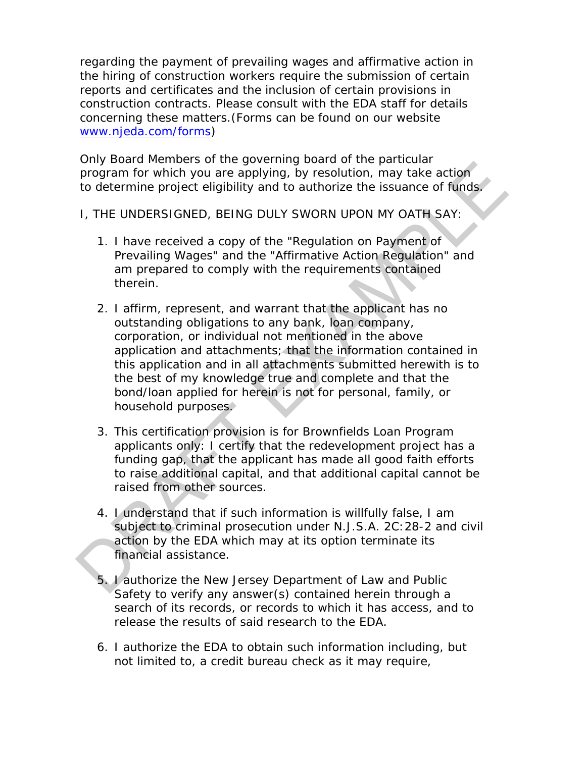regarding the payment of prevailing wages and affirmative action in the hiring of construction workers require the submission of certain reports and certificates and the inclusion of certain provisions in construction contracts. Please consult with the EDA staff for details concerning these matters.(Forms can be found on our website [www.njeda.com/forms\)](https://gcc02.safelinks.protection.outlook.com/?url=http%3A%2F%2Fwww.njeda.com%2Fforms&data=04%7C01%7CWEBMASTER%40NJEDA.COM%7Cf71a191fa0b04ddb243108d8b7364ea6%7Cdef9b6fa35984b48bb720bc384032ea3%7C0%7C0%7C637460791171978034%7CUnknown%7CTWFpbGZsb3d8eyJWIjoiMC4wLjAwMDAiLCJQIjoiV2luMzIiLCJBTiI6Ik1haWwiLCJXVCI6Mn0%3D%7C1000&sdata=w9QAPNHOl52gMP4F%2FVdVlfrIgSfvyILB1eLRDe%2FuKS0%3D&reserved=0)

Only Board Members of the governing board of the particular program for which you are applying, by resolution, may take action to determine project eligibility and to authorize the issuance of funds.

- I, THE UNDERSIGNED, BEING DULY SWORN UPON MY OATH SAY:
	- 1. I have received a copy of the "Regulation on Payment of Prevailing Wages" and the "Affirmative Action Regulation" and am prepared to comply with the requirements contained therein.
- 2. I affirm, represent, and warrant that the applicant has no outstanding obligations to any bank, loan company, corporation, or individual not mentioned in the above application and attachments; that the information contained in this application and in all attachments submitted herewith is to the best of my knowledge true and complete and that the bond/loan applied for herein is not for personal, family, or household purposes. For the minimal of the given may be a state of the particular program for which you are applying, by resolution, may take action<br>to determine project eligibility and to authorize the issuance of funds.<br>
1. THE UNDERSIGNED,
	- 3. This certification provision is for Brownfields Loan Program applicants only: I certify that the redevelopment project has a funding gap, that the applicant has made all good faith efforts to raise additional capital, and that additional capital cannot be raised from other sources.
	- 4. I understand that if such information is willfully false, I am subject to criminal prosecution under N.J.S.A. 2C:28-2 and civil action by the EDA which may at its option terminate its financial assistance.
	- 5. I authorize the New Jersey Department of Law and Public Safety to verify any answer(s) contained herein through a search of its records, or records to which it has access, and to release the results of said research to the EDA.
	- 6. I authorize the EDA to obtain such information including, but not limited to, a credit bureau check as it may require,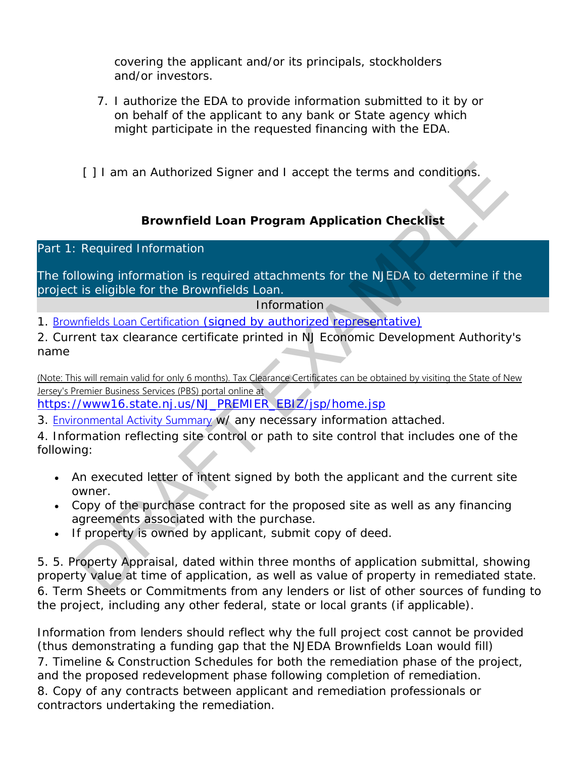covering the applicant and/or its principals, stockholders and/or investors.

- 7. I authorize the EDA to provide information submitted to it by or on behalf of the applicant to any bank or State agency which might participate in the requested financing with the EDA.
- [] I am an Authorized Signer and I accept the terms and conditions.

# **Brownfield Loan Program Application Checklist**

#### Part 1: Required Information

The following information is required attachments for the NJEDA to determine if the project is eligible for the Brownfields Loan.

#### Information

1. Brownfields Loan Certification (signed by authorized representative)

2. Current tax clearance certificate printed in NJ Economic Development Authority's name

(Note: This will remain valid for only 6 months). Tax Clearance Certificates can be obtained by visiting the State of New Jersey's Premier Business Services (PBS) portal online at

https://www16.state.nj.us/NJ\_PREMIER\_EBIZ/jsp/home.jsp

3. Environmental Activity Summary w/ any necessary information attached.

4. Information reflecting site control or path to site control that includes one of the following:

- An executed letter of intent signed by both the applicant and the current site owner.
- Copy of the purchase contract for the proposed site as well as any financing agreements associated with the purchase.
- If property is owned by applicant, submit copy of deed.

5. 5. Property Appraisal, dated within three months of application submittal, showing property value at time of application, as well as value of property in remediated state. 6. Term Sheets or Commitments from any lenders or list of other sources of funding to the project, including any other federal, state or local grants (if applicable). [] I am an Authorized Signer and I accept the terms and conditions.<br> **Brownfield Loan Program Application Checklist**<br>
Required Information<br>
Illowing information is required attachments for the NJEDA to determine if the<br>
it

Information from lenders should reflect why the full project cost cannot be provided (thus demonstrating a funding gap that the NJEDA Brownfields Loan would fill) 7. Timeline & Construction Schedules for both the remediation phase of the project, and the proposed redevelopment phase following completion of remediation. 8. Copy of any contracts between applicant and remediation professionals or contractors undertaking the remediation.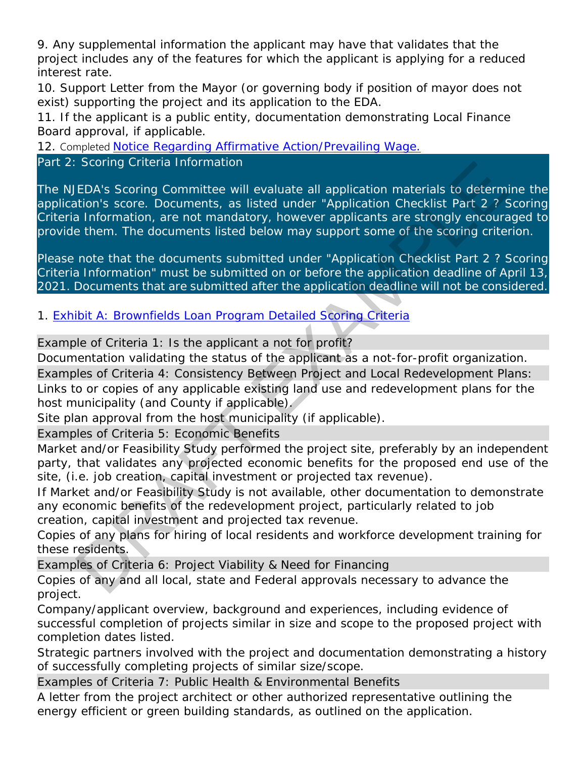9. Any supplemental information the applicant may have that validates that the project includes any of the features for which the applicant is applying for a reduced interest rate.

10. Support Letter from the Mayor (or governing body if position of mayor does not exist) supporting the project and its application to the EDA.

11. If the applicant is a public entity, documentation demonstrating Local Finance Board approval, if applicable.

12. Completed [Notice Regarding Affirmative Action/Prevailing Wage](https://www.njeda.com/getattachment/financing_incentives/Community-Revitalization/Brownfields-Loan-Program/NOTICE-REGARDING-AA-AND-PW-2020-(003).pdf.aspx)[.](https://gcc02.safelinks.protection.outlook.com/?url=https%3A%2F%2Fwww.njeda.com%2Fgetattachment%2Ffinancing_incentives%2FCommunity-Revitalization%2FBrownfields-Loan-Program%2FNOTICE-REGARDING-AA-AND-PW-2020-(003).pdf.aspx&data=04%7C01%7CWEBMASTER%40NJEDA.COM%7Cf71a191fa0b04ddb243108d8b7364ea6%7Cdef9b6fa35984b48bb720bc384032ea3%7C0%7C0%7C637460791172007896%7CUnknown%7CTWFpbGZsb3d8eyJWIjoiMC4wLjAwMDAiLCJQIjoiV2luMzIiLCJBTiI6Ik1haWwiLCJXVCI6Mn0%3D%7C1000&sdata=bj8aCy%2BpwHgoknlZ0mfagRIX7%2F5fqUrKd3E12jdScUQ%3D&reserved=0)

Part 2: Scoring Criteria Information

The NJEDA's Scoring Committee will evaluate all application materials to determine the application's score. Documents, as listed under "Application Checklist Part 2 ? Scoring Criteria Information, are not mandatory, however applicants are strongly encouraged to provide them. The documents listed below may support some of the scoring criterion. Scoring Criteria Information<br>
EDA's Scoring Committee will evaluate all application materials to determination's score. Documents, as listed under "Application Checklist Part 2 ? S<br>
al Information, are not mandatory, howev

Please note that the documents submitted under "Application Checklist Part 2 ? Scoring Criteria Information" must be submitted on or before the application deadline of April 13, 2021. Documents that are submitted after the application deadline will not be considered.

1. Exhibit A: Brownfields Loan Program Detailed Scoring Criteria

Example of Criteria 1: Is the applicant a not for profit?

Documentation validating the status of the applicant as a not-for-profit organization.

Examples of Criteria 4: Consistency Between Project and Local Redevelopment Plans:

Links to or copies of any applicable existing land use and redevelopment plans for the host municipality (and County if applicable).

Site plan approval from the host municipality (if applicable).

Examples of Criteria 5: Economic Benefits

Market and/or Feasibility Study performed the project site, preferably by an independent party, that validates any projected economic benefits for the proposed end use of the site, (i.e. job creation, capital investment or projected tax revenue).

If Market and/or Feasibility Study is not available, other documentation to demonstrate any economic benefits of the redevelopment project, particularly related to job creation, capital investment and projected tax revenue.

Copies of any plans for hiring of local residents and workforce development training for these residents.

Examples of Criteria 6: Project Viability & Need for Financing

Copies of any and all local, state and Federal approvals necessary to advance the project.

Company/applicant overview, background and experiences, including evidence of successful completion of projects similar in size and scope to the proposed project with completion dates listed.

Strategic partners involved with the project and documentation demonstrating a history of successfully completing projects of similar size/scope.

Examples of Criteria 7: Public Health & Environmental Benefits

A letter from the project architect or other authorized representative outlining the energy efficient or green building standards, as outlined on the application.